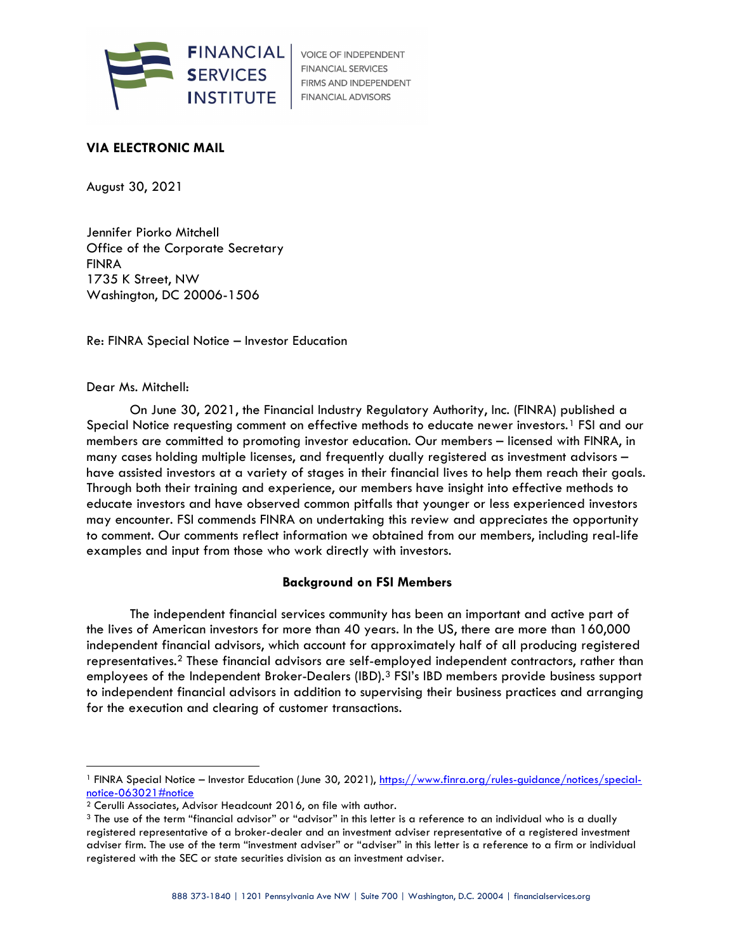

**VOICE OF INDEPENDENT FINANCIAL SERVICES** FIRMS AND INDEPENDENT FINANCIAL ADVISORS

# VIA ELECTRONIC MAIL

August 30, 2021

Jennifer Piorko Mitchell Office of the Corporate Secretary FINRA 1735 K Street, NW Washington, DC 20006-1506

Re: FINRA Special Notice – Investor Education

### Dear Ms. Mitchell:

On June 30, 2021, the Financial Industry Regulatory Authority, Inc. (FINRA) published a Special Notice requesting comment on effective methods to educate newer investors.<sup>1</sup> FSI and our members are committed to promoting investor education. Our members – licensed with FINRA, in many cases holding multiple licenses, and frequently dually registered as investment advisors – have assisted investors at a variety of stages in their financial lives to help them reach their goals. Through both their training and experience, our members have insight into effective methods to educate investors and have observed common pitfalls that younger or less experienced investors may encounter. FSI commends FINRA on undertaking this review and appreciates the opportunity to comment. Our comments reflect information we obtained from our members, including real-life examples and input from those who work directly with investors.

### Background on FSI Members

The independent financial services community has been an important and active part of the lives of American investors for more than 40 years. In the US, there are more than 160,000 independent financial advisors, which account for approximately half of all producing registered representatives.2 These financial advisors are self-employed independent contractors, rather than employees of the Independent Broker-Dealers (IBD).<sup>3</sup> FSI's IBD members provide business support to independent financial advisors in addition to supervising their business practices and arranging for the execution and clearing of customer transactions.

<sup>&</sup>lt;sup>1</sup> FINRA Special Notice – Investor Education (June 30, 2021), https://www.finra.org/rules-guidance/notices/specialnotice-063021#notice

<sup>2</sup> Cerulli Associates, Advisor Headcount 2016, on file with author.

<sup>&</sup>lt;sup>3</sup> The use of the term "financial advisor" or "advisor" in this letter is a reference to an individual who is a dually registered representative of a broker-dealer and an investment adviser representative of a registered investment adviser firm. The use of the term "investment adviser" or "adviser" in this letter is a reference to a firm or individual registered with the SEC or state securities division as an investment adviser.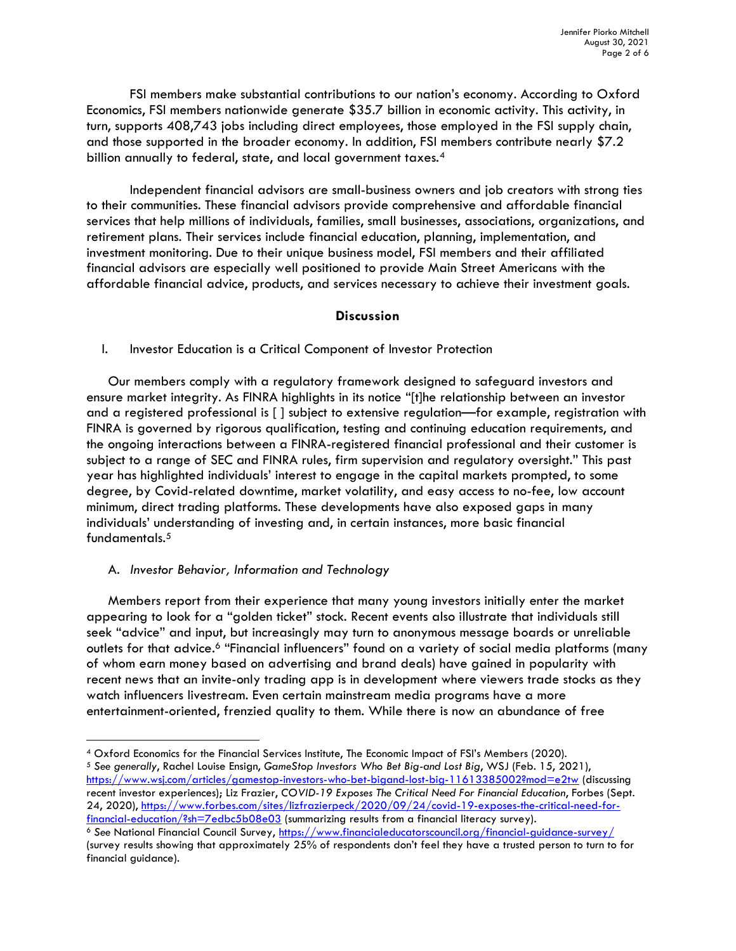FSI members make substantial contributions to our nation's economy. According to Oxford Economics, FSI members nationwide generate \$35.7 billion in economic activity. This activity, in turn, supports 408,743 jobs including direct employees, those employed in the FSI supply chain, and those supported in the broader economy. In addition, FSI members contribute nearly \$7.2 billion annually to federal, state, and local government taxes.<sup>4</sup>

Independent financial advisors are small-business owners and job creators with strong ties to their communities. These financial advisors provide comprehensive and affordable financial services that help millions of individuals, families, small businesses, associations, organizations, and retirement plans. Their services include financial education, planning, implementation, and investment monitoring. Due to their unique business model, FSI members and their affiliated financial advisors are especially well positioned to provide Main Street Americans with the affordable financial advice, products, and services necessary to achieve their investment goals.

## Discussion

I. Investor Education is a Critical Component of Investor Protection

Our members comply with a regulatory framework designed to safeguard investors and ensure market integrity. As FINRA highlights in its notice "[t]he relationship between an investor and a registered professional is [ ] subject to extensive regulation—for example, registration with FINRA is governed by rigorous qualification, testing and continuing education requirements, and the ongoing interactions between a FINRA-registered financial professional and their customer is subject to a range of SEC and FINRA rules, firm supervision and regulatory oversight." This past year has highlighted individuals' interest to engage in the capital markets prompted, to some degree, by Covid-related downtime, market volatility, and easy access to no-fee, low account minimum, direct trading platforms. These developments have also exposed gaps in many individuals' understanding of investing and, in certain instances, more basic financial fundamentals.<sup>5</sup>

## A. Investor Behavior, Information and Technology

Members report from their experience that many young investors initially enter the market appearing to look for a "golden ticket" stock. Recent events also illustrate that individuals still seek "advice" and input, but increasingly may turn to anonymous message boards or unreliable outlets for that advice.6 "Financial influencers" found on a variety of social media platforms (many of whom earn money based on advertising and brand deals) have gained in popularity with recent news that an invite-only trading app is in development where viewers trade stocks as they watch influencers livestream. Even certain mainstream media programs have a more entertainment-oriented, frenzied quality to them. While there is now an abundance of free

<sup>4</sup> Oxford Economics for the Financial Services Institute, The Economic Impact of FSI's Members (2020).

 $5$  See generally, Rachel Louise Ensign, GameStop Investors Who Bet Big-and Lost Big, WSJ (Feb. 15, 2021), https://www.wsj.com/articles/gamestop-investors-who-bet-bigand-lost-big-11613385002?mod=e2tw (discussing recent investor experiences); Liz Frazier, COVID-19 Exposes The Critical Need For Financial Education, Forbes (Sept. 24, 2020), https://www.forbes.com/sites/lizfrazierpeck/2020/09/24/covid-19-exposes-the-critical-need-forfinancial-education/?sh=7edbc5b08e03 (summarizing results from a financial literacy survey).

<sup>&</sup>lt;sup>6</sup> See National Financial Council Survey, https://www.financialeducatorscouncil.org/financial-guidance-survey/ (survey results showing that approximately 25% of respondents don't feel they have a trusted person to turn to for financial guidance).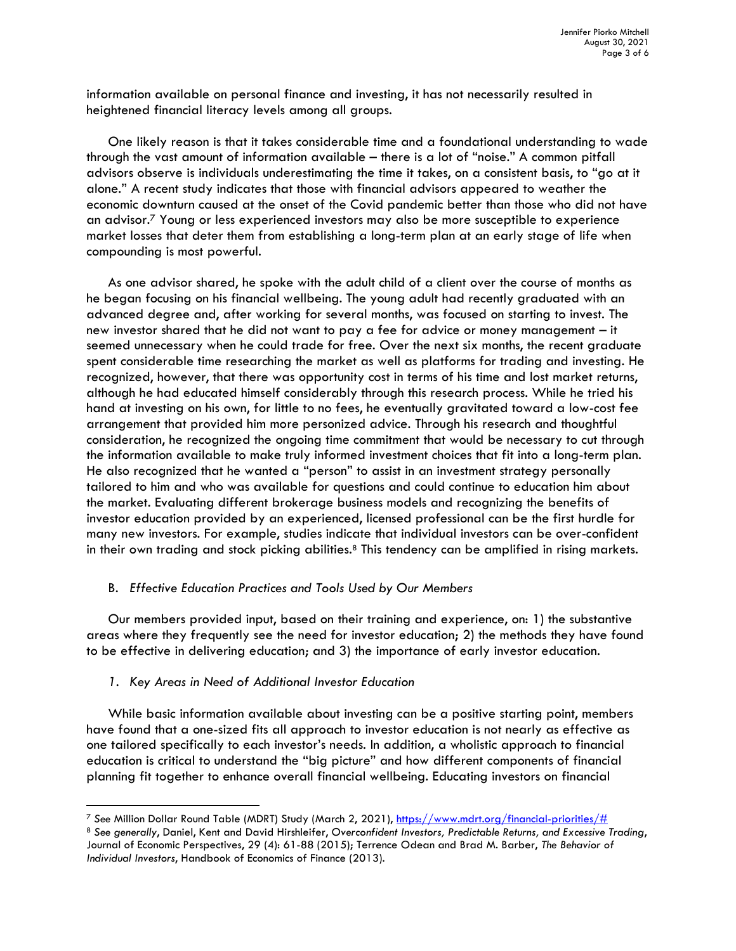information available on personal finance and investing, it has not necessarily resulted in heightened financial literacy levels among all groups.

One likely reason is that it takes considerable time and a foundational understanding to wade through the vast amount of information available – there is a lot of "noise." A common pitfall advisors observe is individuals underestimating the time it takes, on a consistent basis, to "go at it alone." A recent study indicates that those with financial advisors appeared to weather the economic downturn caused at the onset of the Covid pandemic better than those who did not have an advisor.7 Young or less experienced investors may also be more susceptible to experience market losses that deter them from establishing a long-term plan at an early stage of life when compounding is most powerful.

As one advisor shared, he spoke with the adult child of a client over the course of months as he began focusing on his financial wellbeing. The young adult had recently graduated with an advanced degree and, after working for several months, was focused on starting to invest. The new investor shared that he did not want to pay a fee for advice or money management – it seemed unnecessary when he could trade for free. Over the next six months, the recent graduate spent considerable time researching the market as well as platforms for trading and investing. He recognized, however, that there was opportunity cost in terms of his time and lost market returns, although he had educated himself considerably through this research process. While he tried his hand at investing on his own, for little to no fees, he eventually gravitated toward a low-cost fee arrangement that provided him more personized advice. Through his research and thoughtful consideration, he recognized the ongoing time commitment that would be necessary to cut through the information available to make truly informed investment choices that fit into a long-term plan. He also recognized that he wanted a "person" to assist in an investment strategy personally tailored to him and who was available for questions and could continue to education him about the market. Evaluating different brokerage business models and recognizing the benefits of investor education provided by an experienced, licensed professional can be the first hurdle for many new investors. For example, studies indicate that individual investors can be over-confident in their own trading and stock picking abilities.<sup>8</sup> This tendency can be amplified in rising markets.

### B. Effective Education Practices and Tools Used by Our Members

Our members provided input, based on their training and experience, on: 1) the substantive areas where they frequently see the need for investor education; 2) the methods they have found to be effective in delivering education; and 3) the importance of early investor education.

#### 1. Key Areas in Need of Additional Investor Education

While basic information available about investing can be a positive starting point, members have found that a one-sized fits all approach to investor education is not nearly as effective as one tailored specifically to each investor's needs. In addition, a wholistic approach to financial education is critical to understand the "big picture" and how different components of financial planning fit together to enhance overall financial wellbeing. Educating investors on financial

<sup>&</sup>lt;sup>7</sup> See Million Dollar Round Table (MDRT) Study (March 2, 2021), https://www.mdrt.org/financial-priorities/#

<sup>8</sup> See generally, Daniel, Kent and David Hirshleifer, Overconfident Investors, Predictable Returns, and Excessive Trading, Journal of Economic Perspectives, 29 (4): 61-88 (2015); Terrence Odean and Brad M. Barber, The Behavior of Individual Investors, Handbook of Economics of Finance (2013).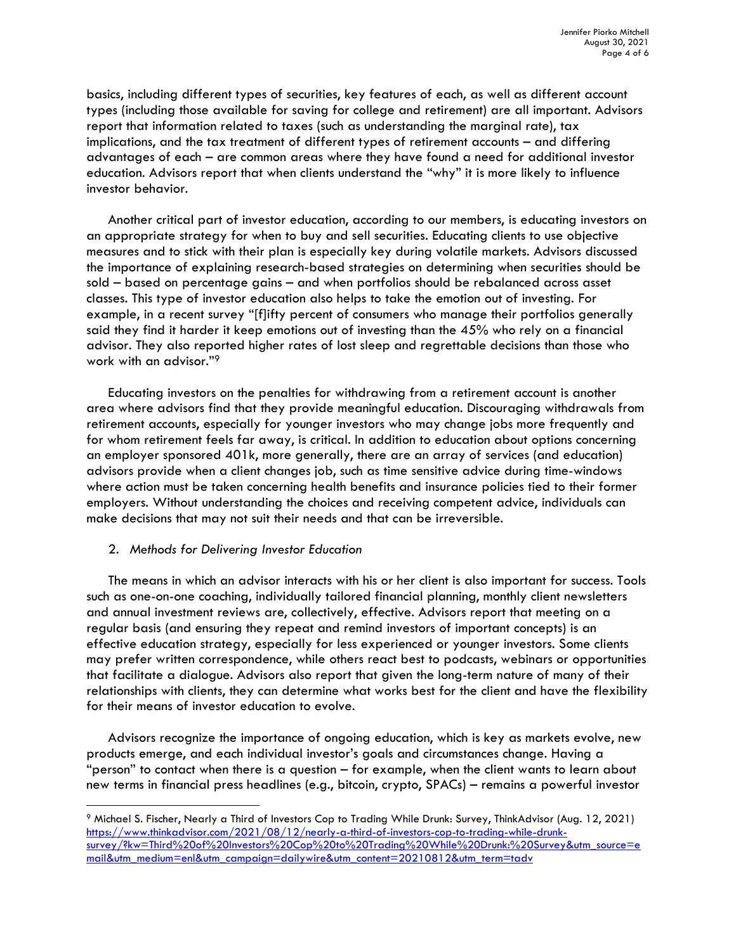basics, including different types of securities, key features of each, as well as different account types (including those available for saving for college and retirement) are all important. Advisors report that information related to taxes (such as understanding the marginal rate), tax implications, and the tax treatment of different types of retirement accounts – and differing advantages of each – are common areas where they have found a need for additional investor education. Advisors report that when clients understand the "why" it is more likely to influence investor behavior.

Another critical part of investor education, according to our members, is educating investors on an appropriate strategy for when to buy and sell securities. Educating clients to use objective measures and to stick with their plan is especially key during volatile markets. Advisors discussed the importance of explaining research-based strategies on determining when securities should be sold – based on percentage gains – and when portfolios should be rebalanced across asset classes. This type of investor education also helps to take the emotion out of investing. For example, in a recent survey "[f]ifty percent of consumers who manage their portfolios generally said they find it harder it keep emotions out of investing than the 45% who rely on a financial advisor. They also reported higher rates of lost sleep and regrettable decisions than those who work with an advisor."<sup>9</sup>

Educating investors on the penalties for withdrawing from a retirement account is another area where advisors find that they provide meaningful education. Discouraging withdrawals from retirement accounts, especially for younger investors who may change jobs more frequently and for whom retirement feels far away, is critical. In addition to education about options concerning an employer sponsored 401k, more generally, there are an array of services (and education) advisors provide when a client changes job, such as time sensitive advice during time-windows where action must be taken concerning health benefits and insurance policies tied to their former employers. Without understanding the choices and receiving competent advice, individuals can make decisions that may not suit their needs and that can be irreversible.

### 2. Methods for Delivering Investor Education

The means in which an advisor interacts with his or her client is also important for success. Tools such as one-on-one coaching, individually tailored financial planning, monthly client newsletters and annual investment reviews are, collectively, effective. Advisors report that meeting on a regular basis (and ensuring they repeat and remind investors of important concepts) is an effective education strategy, especially for less experienced or younger investors. Some clients may prefer written correspondence, while others react best to podcasts, webinars or opportunities that facilitate a dialogue. Advisors also report that given the long-term nature of many of their relationships with clients, they can determine what works best for the client and have the flexibility for their means of investor education to evolve.

Advisors recognize the importance of ongoing education, which is key as markets evolve, new products emerge, and each individual investor's goals and circumstances change. Having a "person" to contact when there is a question – for example, when the client wants to learn about new terms in financial press headlines (e.g., bitcoin, crypto, SPACs) – remains a powerful investor

<sup>9</sup> Michael S. Fischer, Nearly a Third of Investors Cop to Trading While Drunk: Survey, ThinkAdvisor (Aug. 12, 2021) https://www.thinkadvisor.com/2021/08/12/nearly-a-third-of-investors-cop-to-trading-while-drunksurvey/?kw=Third%20of%20Investors%20Cop%20to%20Trading%20While%20Drunk:%20Survey&utm\_source=e mail&utm\_medium=enl&utm\_campaign=dailywire&utm\_content=20210812&utm\_term=tadv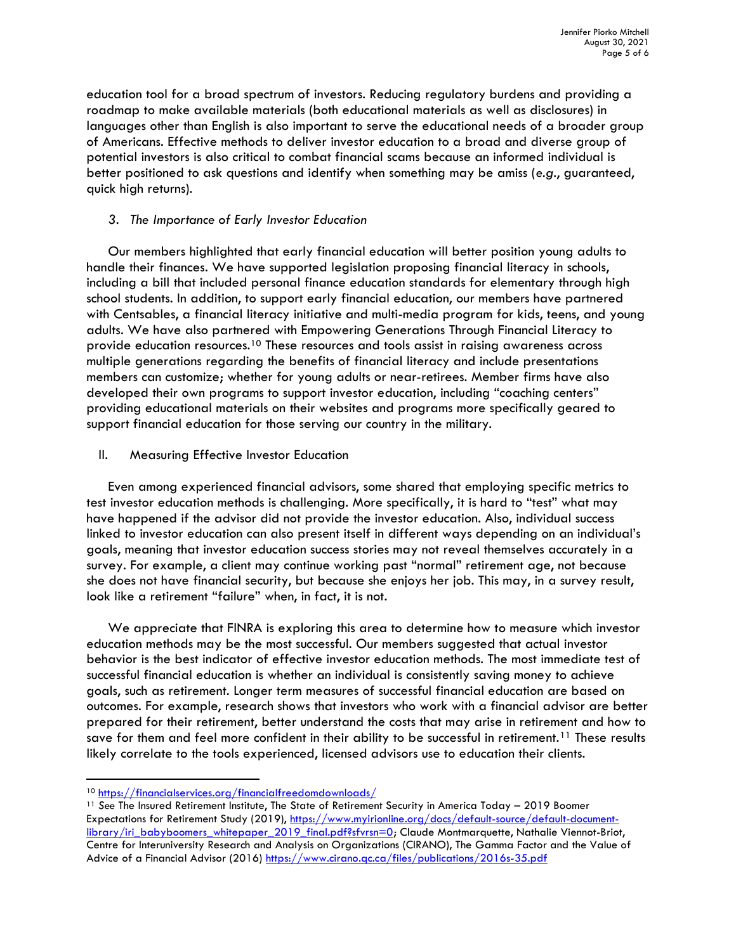education tool for a broad spectrum of investors. Reducing regulatory burdens and providing a roadmap to make available materials (both educational materials as well as disclosures) in languages other than English is also important to serve the educational needs of a broader group of Americans. Effective methods to deliver investor education to a broad and diverse group of potential investors is also critical to combat financial scams because an informed individual is better positioned to ask questions and identify when something may be amiss (e.g., guaranteed, quick high returns).

## 3. The Importance of Early Investor Education

Our members highlighted that early financial education will better position young adults to handle their finances. We have supported legislation proposing financial literacy in schools, including a bill that included personal finance education standards for elementary through high school students. In addition, to support early financial education, our members have partnered with Centsables, a financial literacy initiative and multi-media program for kids, teens, and young adults. We have also partnered with Empowering Generations Through Financial Literacy to provide education resources.10 These resources and tools assist in raising awareness across multiple generations regarding the benefits of financial literacy and include presentations members can customize; whether for young adults or near-retirees. Member firms have also developed their own programs to support investor education, including "coaching centers" providing educational materials on their websites and programs more specifically geared to support financial education for those serving our country in the military.

II. Measuring Effective Investor Education

Even among experienced financial advisors, some shared that employing specific metrics to test investor education methods is challenging. More specifically, it is hard to "test" what may have happened if the advisor did not provide the investor education. Also, individual success linked to investor education can also present itself in different ways depending on an individual's goals, meaning that investor education success stories may not reveal themselves accurately in a survey. For example, a client may continue working past "normal" retirement age, not because she does not have financial security, but because she enjoys her job. This may, in a survey result, look like a retirement "failure" when, in fact, it is not.

We appreciate that FINRA is exploring this area to determine how to measure which investor education methods may be the most successful. Our members suggested that actual investor behavior is the best indicator of effective investor education methods. The most immediate test of successful financial education is whether an individual is consistently saving money to achieve goals, such as retirement. Longer term measures of successful financial education are based on outcomes. For example, research shows that investors who work with a financial advisor are better prepared for their retirement, better understand the costs that may arise in retirement and how to save for them and feel more confident in their ability to be successful in retirement.<sup>11</sup> These results likely correlate to the tools experienced, licensed advisors use to education their clients.

<sup>10</sup> https://financialservices.org/financialfreedomdownloads/

<sup>&</sup>lt;sup>11</sup> See The Insured Retirement Institute, The State of Retirement Security in America Today - 2019 Boomer Expectations for Retirement Study (2019), https://www.myirionline.org/docs/default-source/default-documentlibrary/iri\_babyboomers\_whitepaper\_2019\_final.pdf?sfvrsn=0; Claude Montmarquette, Nathalie Viennot-Briot, Centre for Interuniversity Research and Analysis on Organizations (CIRANO), The Gamma Factor and the Value of Advice of a Financial Advisor (2016) https://www.cirano.qc.ca/files/publications/2016s-35.pdf